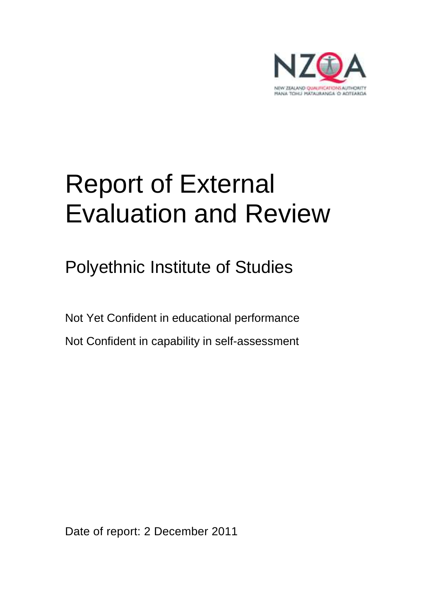

# Report of External Evaluation and Review

Polyethnic Institute of Studies

Not Yet Confident in educational performance Not Confident in capability in self-assessment

Date of report: 2 December 2011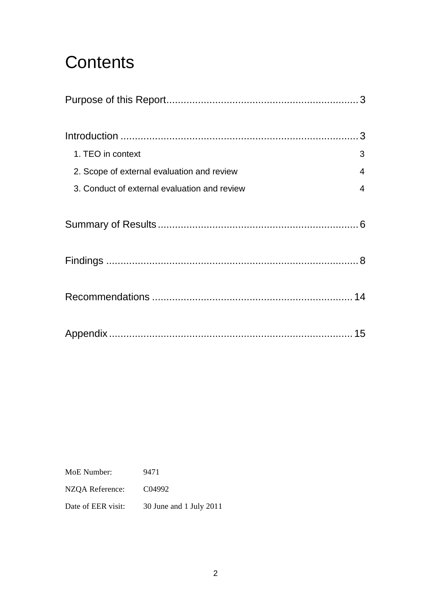## **Contents**

| 1. TEO in context                            | 3              |
|----------------------------------------------|----------------|
| 2. Scope of external evaluation and review   | 4              |
| 3. Conduct of external evaluation and review | $\overline{4}$ |
|                                              |                |
|                                              |                |
|                                              |                |
|                                              |                |

MoE Number: 9471 NZQA Reference: C04992 Date of EER visit: 30 June and 1 July 2011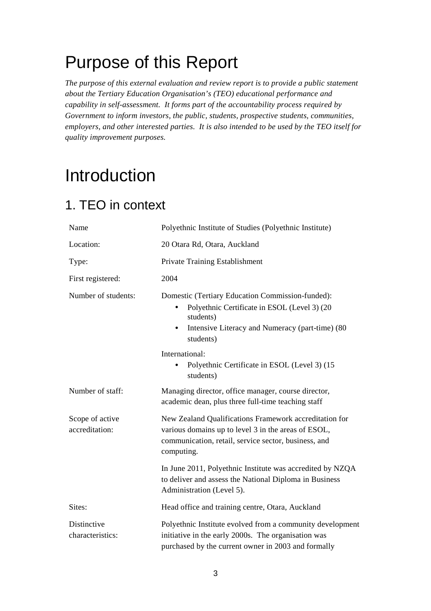## Purpose of this Report

*The purpose of this external evaluation and review report is to provide a public statement about the Tertiary Education Organisation's (TEO) educational performance and capability in self-assessment. It forms part of the accountability process required by Government to inform investors, the public, students, prospective students, communities, employers, and other interested parties. It is also intended to be used by the TEO itself for quality improvement purposes.* 

## Introduction

### 1. TEO in context

| Name                              | Polyethnic Institute of Studies (Polyethnic Institute)                                                                                                                              |
|-----------------------------------|-------------------------------------------------------------------------------------------------------------------------------------------------------------------------------------|
| Location:                         | 20 Otara Rd, Otara, Auckland                                                                                                                                                        |
| Type:                             | Private Training Establishment                                                                                                                                                      |
| First registered:                 | 2004                                                                                                                                                                                |
| Number of students:               | Domestic (Tertiary Education Commission-funded):<br>Polyethnic Certificate in ESOL (Level 3) (20<br>students)<br>Intensive Literacy and Numeracy (part-time) (80<br>students)       |
|                                   | International:<br>Polyethnic Certificate in ESOL (Level 3) (15<br>students)                                                                                                         |
| Number of staff:                  | Managing director, office manager, course director,<br>academic dean, plus three full-time teaching staff                                                                           |
| Scope of active<br>accreditation: | New Zealand Qualifications Framework accreditation for<br>various domains up to level 3 in the areas of ESOL,<br>communication, retail, service sector, business, and<br>computing. |
|                                   | In June 2011, Polyethnic Institute was accredited by NZQA<br>to deliver and assess the National Diploma in Business<br>Administration (Level 5).                                    |
| Sites:                            | Head office and training centre, Otara, Auckland                                                                                                                                    |
| Distinctive<br>characteristics:   | Polyethnic Institute evolved from a community development<br>initiative in the early 2000s. The organisation was<br>purchased by the current owner in 2003 and formally             |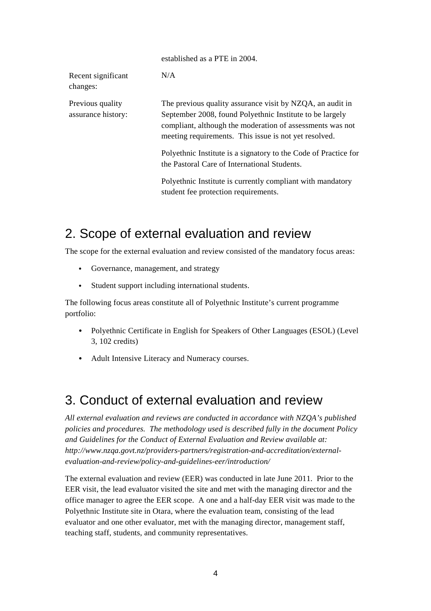|                                        | established as a PTE in 2004.                                                                                                                                                                                                               |
|----------------------------------------|---------------------------------------------------------------------------------------------------------------------------------------------------------------------------------------------------------------------------------------------|
| Recent significant<br>changes:         | N/A                                                                                                                                                                                                                                         |
| Previous quality<br>assurance history: | The previous quality assurance visit by NZQA, an audit in<br>September 2008, found Polyethnic Institute to be largely<br>compliant, although the moderation of assessments was not<br>meeting requirements. This issue is not yet resolved. |
|                                        | Polyethnic Institute is a signatory to the Code of Practice for<br>the Pastoral Care of International Students.                                                                                                                             |
|                                        | Polyethnic Institute is currently compliant with mandatory<br>student fee protection requirements.                                                                                                                                          |

established as a PTE in 2004.

### 2. Scope of external evaluation and review

The scope for the external evaluation and review consisted of the mandatory focus areas:

- Governance, management, and strategy
- Student support including international students.

The following focus areas constitute all of Polyethnic Institute's current programme portfolio:

- Polyethnic Certificate in English for Speakers of Other Languages (ESOL) (Level 3, 102 credits)
- Adult Intensive Literacy and Numeracy courses.

### 3. Conduct of external evaluation and review

*All external evaluation and reviews are conducted in accordance with NZQA's published policies and procedures. The methodology used is described fully in the document Policy and Guidelines for the Conduct of External Evaluation and Review available at: http://www.nzqa.govt.nz/providers-partners/registration-and-accreditation/externalevaluation-and-review/policy-and-guidelines-eer/introduction/* 

The external evaluation and review (EER) was conducted in late June 2011. Prior to the EER visit, the lead evaluator visited the site and met with the managing director and the office manager to agree the EER scope. A one and a half-day EER visit was made to the Polyethnic Institute site in Otara, where the evaluation team, consisting of the lead evaluator and one other evaluator, met with the managing director, management staff, teaching staff, students, and community representatives.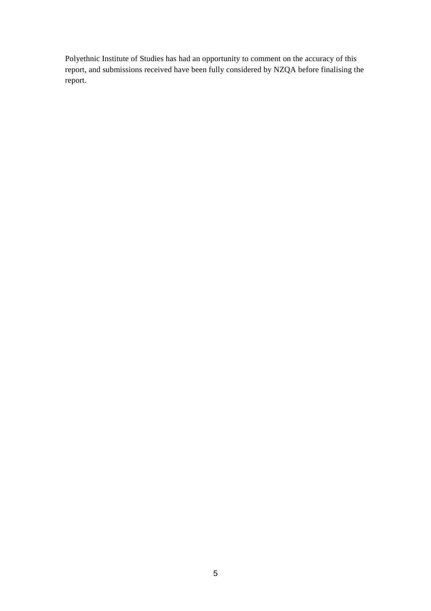Polyethnic Institute of Studies has had an opportunity to comment on the accuracy of this report, and submissions received have been fully considered by NZQA before finalising the report.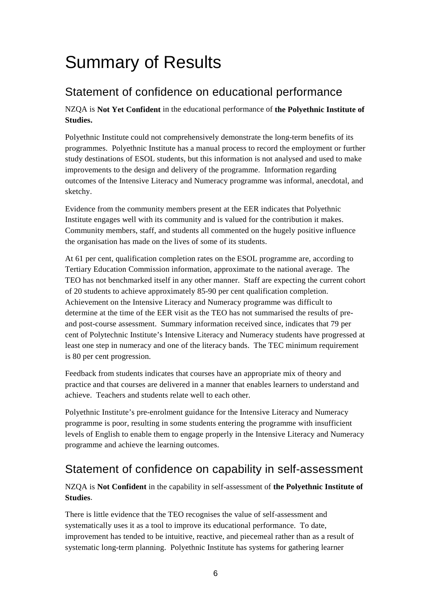## Summary of Results

### Statement of confidence on educational performance

NZQA is **Not Yet Confident** in the educational performance of **the Polyethnic Institute of Studies.**

Polyethnic Institute could not comprehensively demonstrate the long-term benefits of its programmes. Polyethnic Institute has a manual process to record the employment or further study destinations of ESOL students, but this information is not analysed and used to make improvements to the design and delivery of the programme. Information regarding outcomes of the Intensive Literacy and Numeracy programme was informal, anecdotal, and sketchy.

Evidence from the community members present at the EER indicates that Polyethnic Institute engages well with its community and is valued for the contribution it makes. Community members, staff, and students all commented on the hugely positive influence the organisation has made on the lives of some of its students.

At 61 per cent, qualification completion rates on the ESOL programme are, according to Tertiary Education Commission information, approximate to the national average. The TEO has not benchmarked itself in any other manner. Staff are expecting the current cohort of 20 students to achieve approximately 85-90 per cent qualification completion. Achievement on the Intensive Literacy and Numeracy programme was difficult to determine at the time of the EER visit as the TEO has not summarised the results of preand post-course assessment. Summary information received since, indicates that 79 per cent of Polytechnic Institute's Intensive Literacy and Numeracy students have progressed at least one step in numeracy and one of the literacy bands. The TEC minimum requirement is 80 per cent progression.

Feedback from students indicates that courses have an appropriate mix of theory and practice and that courses are delivered in a manner that enables learners to understand and achieve. Teachers and students relate well to each other.

Polyethnic Institute's pre-enrolment guidance for the Intensive Literacy and Numeracy programme is poor, resulting in some students entering the programme with insufficient levels of English to enable them to engage properly in the Intensive Literacy and Numeracy programme and achieve the learning outcomes.

### Statement of confidence on capability in self-assessment

NZQA is **Not Confident** in the capability in self-assessment of **the Polyethnic Institute of Studies**.

There is little evidence that the TEO recognises the value of self-assessment and systematically uses it as a tool to improve its educational performance. To date, improvement has tended to be intuitive, reactive, and piecemeal rather than as a result of systematic long-term planning. Polyethnic Institute has systems for gathering learner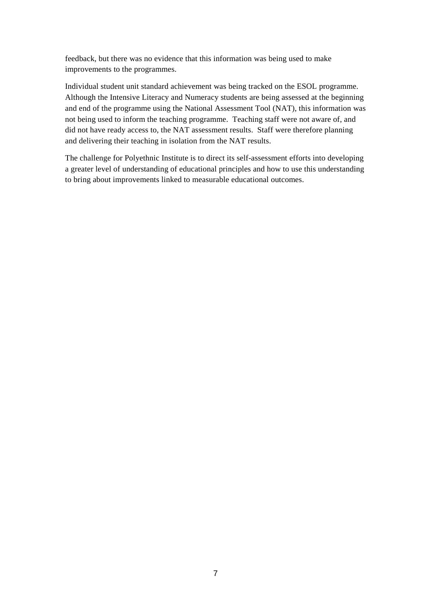feedback, but there was no evidence that this information was being used to make improvements to the programmes.

Individual student unit standard achievement was being tracked on the ESOL programme. Although the Intensive Literacy and Numeracy students are being assessed at the beginning and end of the programme using the National Assessment Tool (NAT), this information was not being used to inform the teaching programme. Teaching staff were not aware of, and did not have ready access to, the NAT assessment results. Staff were therefore planning and delivering their teaching in isolation from the NAT results.

The challenge for Polyethnic Institute is to direct its self-assessment efforts into developing a greater level of understanding of educational principles and how to use this understanding to bring about improvements linked to measurable educational outcomes.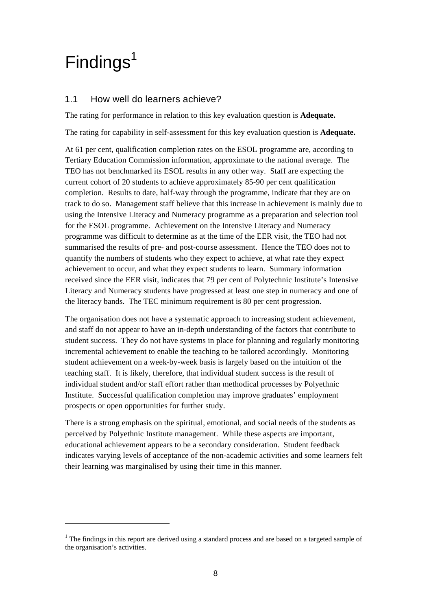## $Findings<sup>1</sup>$

 $\overline{a}$ 

#### 1.1 How well do learners achieve?

The rating for performance in relation to this key evaluation question is **Adequate.**

The rating for capability in self-assessment for this key evaluation question is **Adequate.**

At 61 per cent, qualification completion rates on the ESOL programme are, according to Tertiary Education Commission information, approximate to the national average. The TEO has not benchmarked its ESOL results in any other way. Staff are expecting the current cohort of 20 students to achieve approximately 85-90 per cent qualification completion. Results to date, half-way through the programme, indicate that they are on track to do so. Management staff believe that this increase in achievement is mainly due to using the Intensive Literacy and Numeracy programme as a preparation and selection tool for the ESOL programme. Achievement on the Intensive Literacy and Numeracy programme was difficult to determine as at the time of the EER visit, the TEO had not summarised the results of pre- and post-course assessment. Hence the TEO does not to quantify the numbers of students who they expect to achieve, at what rate they expect achievement to occur, and what they expect students to learn. Summary information received since the EER visit, indicates that 79 per cent of Polytechnic Institute's Intensive Literacy and Numeracy students have progressed at least one step in numeracy and one of the literacy bands. The TEC minimum requirement is 80 per cent progression.

The organisation does not have a systematic approach to increasing student achievement, and staff do not appear to have an in-depth understanding of the factors that contribute to student success. They do not have systems in place for planning and regularly monitoring incremental achievement to enable the teaching to be tailored accordingly. Monitoring student achievement on a week-by-week basis is largely based on the intuition of the teaching staff. It is likely, therefore, that individual student success is the result of individual student and/or staff effort rather than methodical processes by Polyethnic Institute. Successful qualification completion may improve graduates' employment prospects or open opportunities for further study.

There is a strong emphasis on the spiritual, emotional, and social needs of the students as perceived by Polyethnic Institute management. While these aspects are important, educational achievement appears to be a secondary consideration. Student feedback indicates varying levels of acceptance of the non-academic activities and some learners felt their learning was marginalised by using their time in this manner.

 $1$  The findings in this report are derived using a standard process and are based on a targeted sample of the organisation's activities.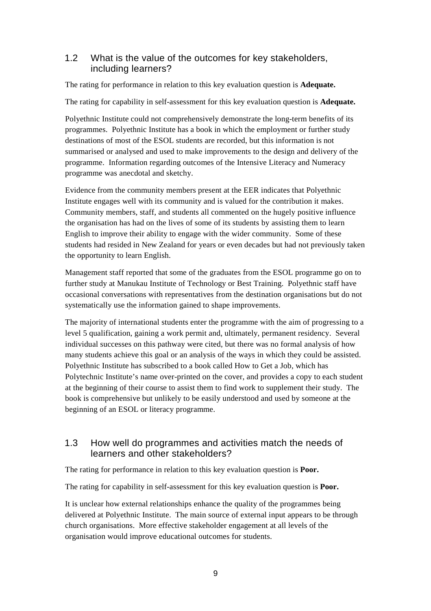#### 1.2 What is the value of the outcomes for key stakeholders, including learners?

The rating for performance in relation to this key evaluation question is **Adequate.**

The rating for capability in self-assessment for this key evaluation question is **Adequate.** 

Polyethnic Institute could not comprehensively demonstrate the long-term benefits of its programmes. Polyethnic Institute has a book in which the employment or further study destinations of most of the ESOL students are recorded, but this information is not summarised or analysed and used to make improvements to the design and delivery of the programme. Information regarding outcomes of the Intensive Literacy and Numeracy programme was anecdotal and sketchy.

Evidence from the community members present at the EER indicates that Polyethnic Institute engages well with its community and is valued for the contribution it makes. Community members, staff, and students all commented on the hugely positive influence the organisation has had on the lives of some of its students by assisting them to learn English to improve their ability to engage with the wider community. Some of these students had resided in New Zealand for years or even decades but had not previously taken the opportunity to learn English.

Management staff reported that some of the graduates from the ESOL programme go on to further study at Manukau Institute of Technology or Best Training. Polyethnic staff have occasional conversations with representatives from the destination organisations but do not systematically use the information gained to shape improvements.

The majority of international students enter the programme with the aim of progressing to a level 5 qualification, gaining a work permit and, ultimately, permanent residency. Several individual successes on this pathway were cited, but there was no formal analysis of how many students achieve this goal or an analysis of the ways in which they could be assisted. Polyethnic Institute has subscribed to a book called How to Get a Job, which has Polytechnic Institute's name over-printed on the cover, and provides a copy to each student at the beginning of their course to assist them to find work to supplement their study. The book is comprehensive but unlikely to be easily understood and used by someone at the beginning of an ESOL or literacy programme.

#### 1.3 How well do programmes and activities match the needs of learners and other stakeholders?

The rating for performance in relation to this key evaluation question is **Poor.**

The rating for capability in self-assessment for this key evaluation question is **Poor.** 

It is unclear how external relationships enhance the quality of the programmes being delivered at Polyethnic Institute. The main source of external input appears to be through church organisations. More effective stakeholder engagement at all levels of the organisation would improve educational outcomes for students.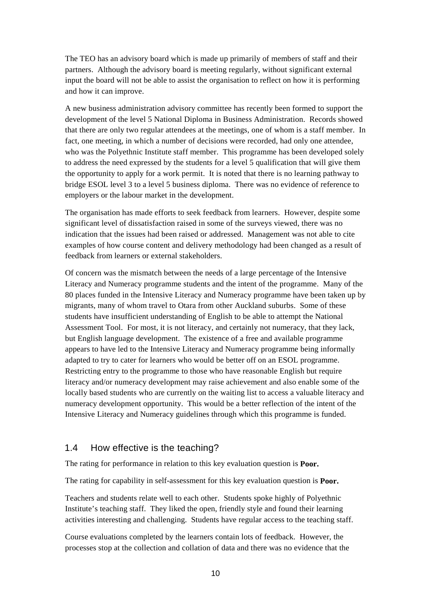The TEO has an advisory board which is made up primarily of members of staff and their partners. Although the advisory board is meeting regularly, without significant external input the board will not be able to assist the organisation to reflect on how it is performing and how it can improve.

A new business administration advisory committee has recently been formed to support the development of the level 5 National Diploma in Business Administration. Records showed that there are only two regular attendees at the meetings, one of whom is a staff member. In fact, one meeting, in which a number of decisions were recorded, had only one attendee, who was the Polyethnic Institute staff member. This programme has been developed solely to address the need expressed by the students for a level 5 qualification that will give them the opportunity to apply for a work permit. It is noted that there is no learning pathway to bridge ESOL level 3 to a level 5 business diploma. There was no evidence of reference to employers or the labour market in the development.

The organisation has made efforts to seek feedback from learners. However, despite some significant level of dissatisfaction raised in some of the surveys viewed, there was no indication that the issues had been raised or addressed. Management was not able to cite examples of how course content and delivery methodology had been changed as a result of feedback from learners or external stakeholders.

Of concern was the mismatch between the needs of a large percentage of the Intensive Literacy and Numeracy programme students and the intent of the programme. Many of the 80 places funded in the Intensive Literacy and Numeracy programme have been taken up by migrants, many of whom travel to Otara from other Auckland suburbs. Some of these students have insufficient understanding of English to be able to attempt the National Assessment Tool. For most, it is not literacy, and certainly not numeracy, that they lack, but English language development. The existence of a free and available programme appears to have led to the Intensive Literacy and Numeracy programme being informally adapted to try to cater for learners who would be better off on an ESOL programme. Restricting entry to the programme to those who have reasonable English but require literacy and/or numeracy development may raise achievement and also enable some of the locally based students who are currently on the waiting list to access a valuable literacy and numeracy development opportunity. This would be a better reflection of the intent of the Intensive Literacy and Numeracy guidelines through which this programme is funded.

#### 1.4 How effective is the teaching?

The rating for performance in relation to this key evaluation question is **Poor.**

The rating for capability in self-assessment for this key evaluation question is **Poor.** 

Teachers and students relate well to each other. Students spoke highly of Polyethnic Institute's teaching staff. They liked the open, friendly style and found their learning activities interesting and challenging. Students have regular access to the teaching staff.

Course evaluations completed by the learners contain lots of feedback. However, the processes stop at the collection and collation of data and there was no evidence that the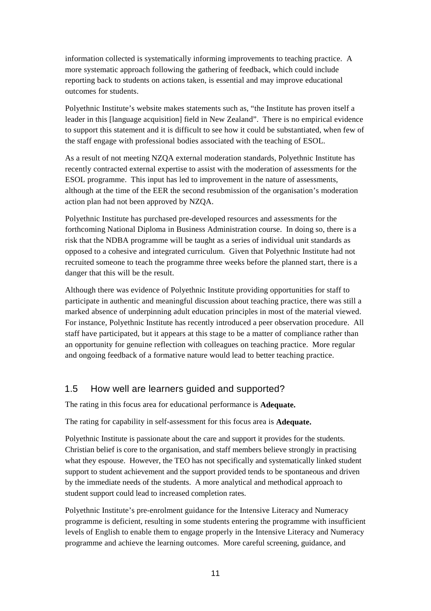information collected is systematically informing improvements to teaching practice. A more systematic approach following the gathering of feedback, which could include reporting back to students on actions taken, is essential and may improve educational outcomes for students.

Polyethnic Institute's website makes statements such as, "the Institute has proven itself a leader in this [language acquisition] field in New Zealand". There is no empirical evidence to support this statement and it is difficult to see how it could be substantiated, when few of the staff engage with professional bodies associated with the teaching of ESOL.

As a result of not meeting NZQA external moderation standards, Polyethnic Institute has recently contracted external expertise to assist with the moderation of assessments for the ESOL programme. This input has led to improvement in the nature of assessments, although at the time of the EER the second resubmission of the organisation's moderation action plan had not been approved by NZQA.

Polyethnic Institute has purchased pre-developed resources and assessments for the forthcoming National Diploma in Business Administration course. In doing so, there is a risk that the NDBA programme will be taught as a series of individual unit standards as opposed to a cohesive and integrated curriculum. Given that Polyethnic Institute had not recruited someone to teach the programme three weeks before the planned start, there is a danger that this will be the result.

Although there was evidence of Polyethnic Institute providing opportunities for staff to participate in authentic and meaningful discussion about teaching practice, there was still a marked absence of underpinning adult education principles in most of the material viewed. For instance, Polyethnic Institute has recently introduced a peer observation procedure. All staff have participated, but it appears at this stage to be a matter of compliance rather than an opportunity for genuine reflection with colleagues on teaching practice. More regular and ongoing feedback of a formative nature would lead to better teaching practice.

#### 1.5 How well are learners guided and supported?

The rating in this focus area for educational performance is **Adequate.**

The rating for capability in self-assessment for this focus area is **Adequate.**

Polyethnic Institute is passionate about the care and support it provides for the students. Christian belief is core to the organisation, and staff members believe strongly in practising what they espouse. However, the TEO has not specifically and systematically linked student support to student achievement and the support provided tends to be spontaneous and driven by the immediate needs of the students. A more analytical and methodical approach to student support could lead to increased completion rates.

Polyethnic Institute's pre-enrolment guidance for the Intensive Literacy and Numeracy programme is deficient, resulting in some students entering the programme with insufficient levels of English to enable them to engage properly in the Intensive Literacy and Numeracy programme and achieve the learning outcomes. More careful screening, guidance, and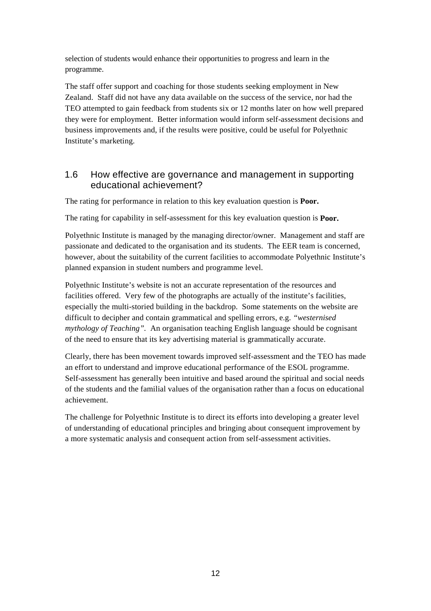selection of students would enhance their opportunities to progress and learn in the programme.

The staff offer support and coaching for those students seeking employment in New Zealand. Staff did not have any data available on the success of the service, nor had the TEO attempted to gain feedback from students six or 12 months later on how well prepared they were for employment. Better information would inform self-assessment decisions and business improvements and, if the results were positive, could be useful for Polyethnic Institute's marketing.

#### 1.6 How effective are governance and management in supporting educational achievement?

The rating for performance in relation to this key evaluation question is **Poor.**

The rating for capability in self-assessment for this key evaluation question is **Poor.** 

Polyethnic Institute is managed by the managing director/owner. Management and staff are passionate and dedicated to the organisation and its students. The EER team is concerned, however, about the suitability of the current facilities to accommodate Polyethnic Institute's planned expansion in student numbers and programme level.

Polyethnic Institute's website is not an accurate representation of the resources and facilities offered. Very few of the photographs are actually of the institute's facilities, especially the multi-storied building in the backdrop. Some statements on the website are difficult to decipher and contain grammatical and spelling errors, e.g. *"westernised mythology of Teaching".* An organisation teaching English language should be cognisant of the need to ensure that its key advertising material is grammatically accurate.

Clearly, there has been movement towards improved self-assessment and the TEO has made an effort to understand and improve educational performance of the ESOL programme. Self-assessment has generally been intuitive and based around the spiritual and social needs of the students and the familial values of the organisation rather than a focus on educational achievement.

The challenge for Polyethnic Institute is to direct its efforts into developing a greater level of understanding of educational principles and bringing about consequent improvement by a more systematic analysis and consequent action from self-assessment activities.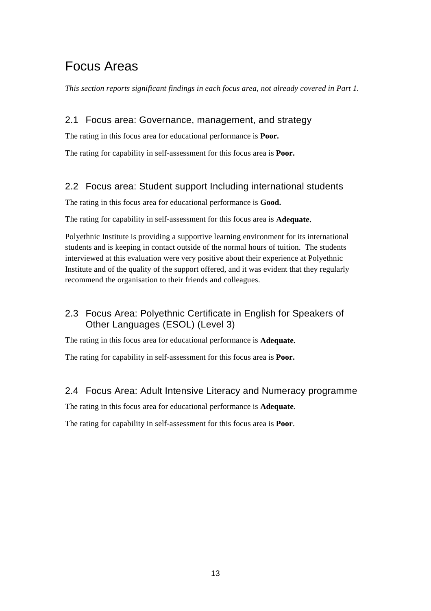### Focus Areas

*This section reports significant findings in each focus area, not already covered in Part 1.* 

#### 2.1 Focus area: Governance, management, and strategy

The rating in this focus area for educational performance is **Poor.**

The rating for capability in self-assessment for this focus area is **Poor.** 

#### 2.2 Focus area: Student support Including international students

The rating in this focus area for educational performance is **Good.**

The rating for capability in self-assessment for this focus area is **Adequate.** 

Polyethnic Institute is providing a supportive learning environment for its international students and is keeping in contact outside of the normal hours of tuition. The students interviewed at this evaluation were very positive about their experience at Polyethnic Institute and of the quality of the support offered, and it was evident that they regularly recommend the organisation to their friends and colleagues.

#### 2.3 Focus Area: Polyethnic Certificate in English for Speakers of Other Languages (ESOL) (Level 3)

The rating in this focus area for educational performance is **Adequate.**

The rating for capability in self-assessment for this focus area is **Poor.** 

#### 2.4 Focus Area: Adult Intensive Literacy and Numeracy programme

The rating in this focus area for educational performance is **Adequate**.

The rating for capability in self-assessment for this focus area is **Poor**.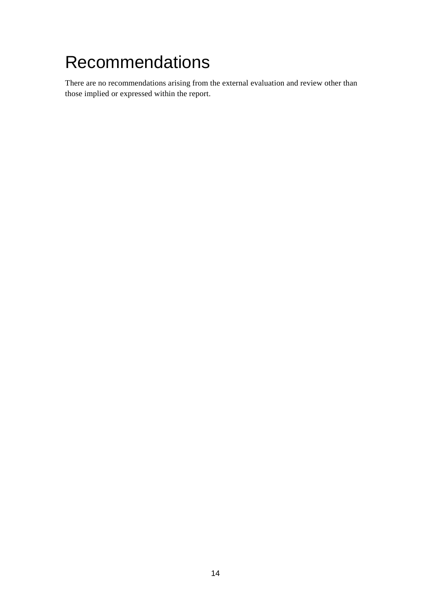## Recommendations

There are no recommendations arising from the external evaluation and review other than those implied or expressed within the report.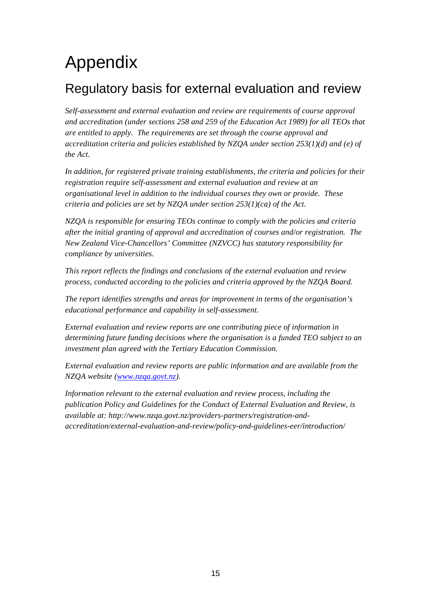## Appendix

### Regulatory basis for external evaluation and review

*Self-assessment and external evaluation and review are requirements of course approval and accreditation (under sections 258 and 259 of the Education Act 1989) for all TEOs that are entitled to apply. The requirements are set through the course approval and accreditation criteria and policies established by NZQA under section 253(1)(d) and (e) of the Act.* 

*In addition, for registered private training establishments, the criteria and policies for their registration require self-assessment and external evaluation and review at an organisational level in addition to the individual courses they own or provide. These criteria and policies are set by NZQA under section 253(1)(ca) of the Act.* 

*NZQA is responsible for ensuring TEOs continue to comply with the policies and criteria after the initial granting of approval and accreditation of courses and/or registration. The New Zealand Vice-Chancellors' Committee (NZVCC) has statutory responsibility for compliance by universities.* 

*This report reflects the findings and conclusions of the external evaluation and review process, conducted according to the policies and criteria approved by the NZQA Board.* 

*The report identifies strengths and areas for improvement in terms of the organisation's educational performance and capability in self-assessment.* 

*External evaluation and review reports are one contributing piece of information in determining future funding decisions where the organisation is a funded TEO subject to an investment plan agreed with the Tertiary Education Commission.* 

*External evaluation and review reports are public information and are available from the NZQA website (www.nzqa.govt.nz).* 

*Information relevant to the external evaluation and review process, including the publication Policy and Guidelines for the Conduct of External Evaluation and Review, is available at: http://www.nzqa.govt.nz/providers-partners/registration-andaccreditation/external-evaluation-and-review/policy-and-guidelines-eer/introduction/*